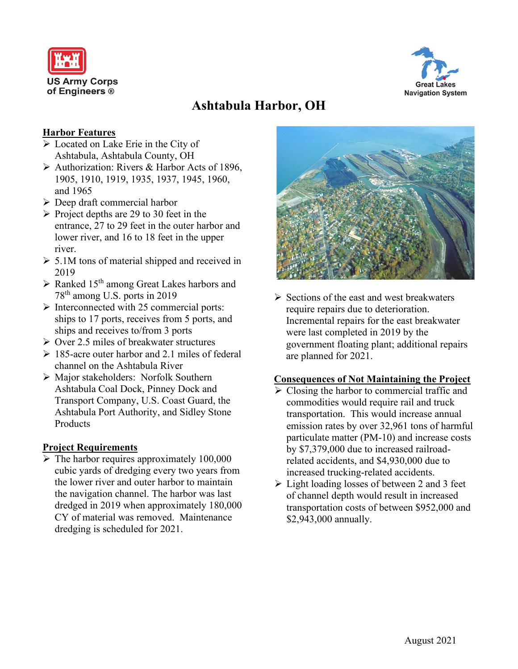



# **Ashtabula Harbor, OH**

# **Harbor Features**

- **Example 1** Located on Lake Erie in the City of Ashtabula, Ashtabula County, OH
- $\triangleright$  Authorization: Rivers & Harbor Acts of 1896, 1905, 1910, 1919, 1935, 1937, 1945, 1960, and 1965
- $\triangleright$  Deep draft commercial harbor
- $\triangleright$  Project depths are 29 to 30 feet in the entrance, 27 to 29 feet in the outer harbor and lower river, and 16 to 18 feet in the upper river.
- $\geq 5.1M$  tons of material shipped and received in 2019
- $\triangleright$  Ranked 15<sup>th</sup> among Great Lakes harbors and 78th among U.S. ports in 2019
- $\triangleright$  Interconnected with 25 commercial ports: ships to 17 ports, receives from 5 ports, and ships and receives to/from 3 ports
- $\triangleright$  Over 2.5 miles of breakwater structures
- $\geq 185$ -acre outer harbor and 2.1 miles of federal channel on the Ashtabula River
- Major stakeholders: Norfolk Southern Ashtabula Coal Dock, Pinney Dock and Transport Company, U.S. Coast Guard, the Ashtabula Port Authority, and Sidley Stone **Products**

## **Project Requirements**

 $\triangleright$  The harbor requires approximately 100,000 cubic yards of dredging every two years from the lower river and outer harbor to maintain the navigation channel. The harbor was last dredged in 2019 when approximately 180,000 CY of material was removed. Maintenance dredging is scheduled for 2021.



 $\triangleright$  Sections of the east and west breakwaters require repairs due to deterioration. Incremental repairs for the east breakwater were last completed in 2019 by the government floating plant; additional repairs are planned for 2021.

#### **Consequences of Not Maintaining the Project**

- $\triangleright$  Closing the harbor to commercial traffic and commodities would require rail and truck transportation. This would increase annual emission rates by over 32,961 tons of harmful particulate matter (PM-10) and increase costs by \$7,379,000 due to increased railroadrelated accidents, and \$4,930,000 due to increased trucking-related accidents.
- $\triangleright$  Light loading losses of between 2 and 3 feet of channel depth would result in increased transportation costs of between \$952,000 and \$2,943,000 annually.